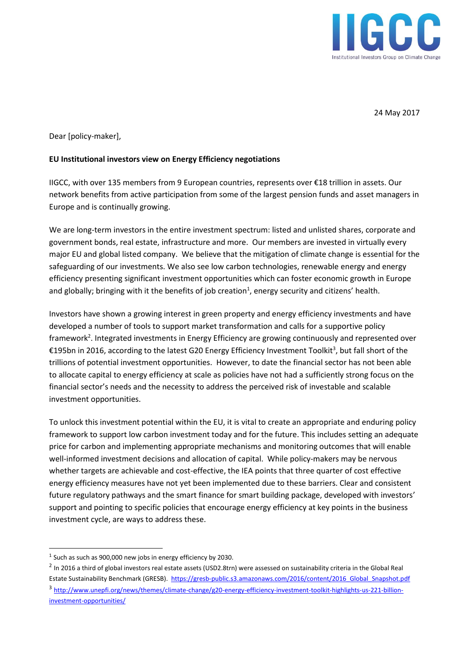

24 May 2017

Dear [policy-maker],

## **EU Institutional investors view on Energy Efficiency negotiations**

IIGCC, with over 135 members from 9 European countries, represents over €18 trillion in assets. Our network benefits from active participation from some of the largest pension funds and asset managers in Europe and is continually growing.

We are long-term investors in the entire investment spectrum: listed and unlisted shares, corporate and government bonds, real estate, infrastructure and more. Our members are invested in virtually every major EU and global listed company. We believe that the mitigation of climate change is essential for the safeguarding of our investments. We also see low carbon technologies, renewable energy and energy efficiency presenting significant investment opportunities which can foster economic growth in Europe and globally; bringing with it the benefits of job creation<sup>1</sup>, energy security and citizens' health.

Investors have shown a growing interest in green property and energy efficiency investments and have developed a number of tools to support market transformation and calls for a supportive policy framework<sup>2</sup>. Integrated investments in Energy Efficiency are growing continuously and represented over €195bn in 2016, according to the latest G20 Energy Efficiency Investment Toolkit<sup>3</sup>, but fall short of the trillions of potential investment opportunities. However, to date the financial sector has not been able to allocate capital to energy efficiency at scale as policies have not had a sufficiently strong focus on the financial sector's needs and the necessity to address the perceived risk of investable and scalable investment opportunities.

To unlock this investment potential within the EU, it is vital to create an appropriate and enduring policy framework to support low carbon investment today and for the future. This includes setting an adequate price for carbon and implementing appropriate mechanisms and monitoring outcomes that will enable well-informed investment decisions and allocation of capital. While policy-makers may be nervous whether targets are achievable and cost-effective, the IEA points that three quarter of cost effective energy efficiency measures have not yet been implemented due to these barriers. Clear and consistent future regulatory pathways and the smart finance for smart building package, developed with investors' support and pointing to specific policies that encourage energy efficiency at key points in the business investment cycle, are ways to address these.

 $\overline{\phantom{a}}$ 

Estate Sustainability Benchmark (GRESB). [https://gresb-public.s3.amazonaws.com/2016/content/2016\\_Global\\_Snapshot.pdf](https://gresb-public.s3.amazonaws.com/2016/content/2016_Global_Snapshot.pdf) <sup>3</sup> [http://www.unepfi.org/news/themes/climate-change/g20-energy-efficiency-investment-toolkit-highlights-us-221-billion](http://www.unepfi.org/news/themes/climate-change/g20-energy-efficiency-investment-toolkit-highlights-us-221-billion-investment-opportunities/)[investment-opportunities/](http://www.unepfi.org/news/themes/climate-change/g20-energy-efficiency-investment-toolkit-highlights-us-221-billion-investment-opportunities/)

 $<sup>1</sup>$  Such as 900,000 new jobs in energy efficiency by 2030.</sup>

 $^2$  In 2016 a third of global investors real estate assets (USD2.8trn) were assessed on sustainability criteria in the Global Real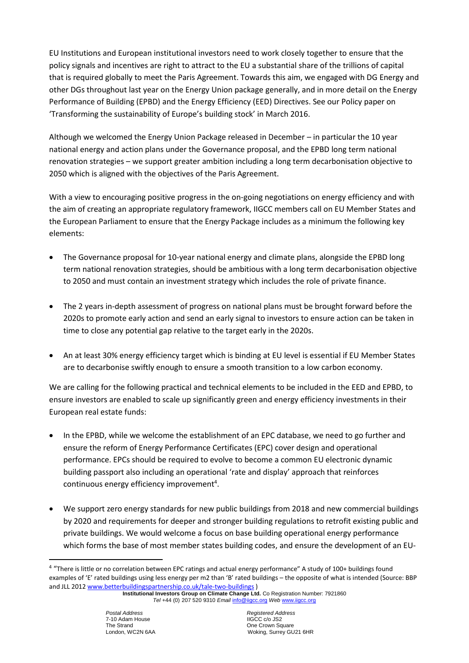EU Institutions and European institutional investors need to work closely together to ensure that the policy signals and incentives are right to attract to the EU a substantial share of the trillions of capital that is required globally to meet the Paris Agreement. Towards this aim, we engaged with DG Energy and other DGs throughout last year on the Energy Union package generally, and in more detail on the Energy Performance of Building (EPBD) and the Energy Efficiency (EED) Directives. See our Policy paper on 'Transforming the sustainability of Europe's building stock' in March 2016.

Although we welcomed the Energy Union Package released in December – in particular the 10 year national energy and action plans under the Governance proposal, and the EPBD long term national renovation strategies – we support greater ambition including a long term decarbonisation objective to 2050 which is aligned with the objectives of the Paris Agreement.

With a view to encouraging positive progress in the on-going negotiations on energy efficiency and with the aim of creating an appropriate regulatory framework, IIGCC members call on EU Member States and the European Parliament to ensure that the Energy Package includes as a minimum the following key elements:

- The Governance proposal for 10-year national energy and climate plans, alongside the EPBD long term national renovation strategies, should be ambitious with a long term decarbonisation objective to 2050 and must contain an investment strategy which includes the role of private finance.
- The 2 years in-depth assessment of progress on national plans must be brought forward before the 2020s to promote early action and send an early signal to investors to ensure action can be taken in time to close any potential gap relative to the target early in the 2020s.
- An at least 30% energy efficiency target which is binding at EU level is essential if EU Member States are to decarbonise swiftly enough to ensure a smooth transition to a low carbon economy.

We are calling for the following practical and technical elements to be included in the EED and EPBD, to ensure investors are enabled to scale up significantly green and energy efficiency investments in their European real estate funds:

- In the EPBD, while we welcome the establishment of an EPC database, we need to go further and ensure the reform of Energy Performance Certificates (EPC) cover design and operational performance. EPCs should be required to evolve to become a common EU electronic dynamic building passport also including an operational 'rate and display' approach that reinforces continuous energy efficiency improvement<sup>4</sup>.
- We support zero energy standards for new public buildings from 2018 and new commercial buildings by 2020 and requirements for deeper and stronger building regulations to retrofit existing public and private buildings. We would welcome a focus on base building operational energy performance which forms the base of most member states building codes, and ensure the development of an EU-

 $\overline{a}$ 

<sup>&</sup>lt;sup>4</sup> "There is little or no correlation between EPC ratings and actual energy performance" A study of 100+ buildings found examples of 'E' rated buildings using less energy per m2 than 'B' rated buildings – the opposite of what is intended (Source: BBP and JLL 2012 [www.betterbuildingspartnership.co.uk/tale-two-buildings](http://www.betterbuildingspartnership.co.uk/tale-two-buildings) )

**Institutional Investors Group on Climate Change Ltd.** Co Registration Number: 7921860 *Tel* +44 (0) 207 520 9310 *Email* [info@iigcc.org](mailto:info@iigcc.org) *Web* [www.iigcc.org](http://www.iigcc.org/)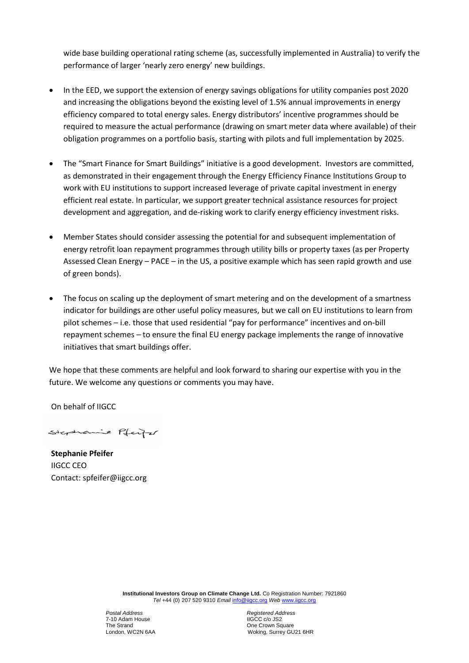wide base building operational rating scheme (as, successfully implemented in Australia) to verify the performance of larger 'nearly zero energy' new buildings.

- In the EED, we support the extension of energy savings obligations for utility companies post 2020 and increasing the obligations beyond the existing level of 1.5% annual improvements in energy efficiency compared to total energy sales. Energy distributors' incentive programmes should be required to measure the actual performance (drawing on smart meter data where available) of their obligation programmes on a portfolio basis, starting with pilots and full implementation by 2025.
- The "Smart Finance for Smart Buildings" initiative is a good development. Investors are committed, as demonstrated in their engagement through the Energy Efficiency Finance Institutions Group to work with EU institutions to support increased leverage of private capital investment in energy efficient real estate. In particular, we support greater technical assistance resources for project development and aggregation, and de-risking work to clarify energy efficiency investment risks.
- Member States should consider assessing the potential for and subsequent implementation of energy retrofit loan repayment programmes through utility bills or property taxes (as per Property Assessed Clean Energy – PACE – in the US, a positive example which has seen rapid growth and use of green bonds).
- The focus on scaling up the deployment of smart metering and on the development of a smartness indicator for buildings are other useful policy measures, but we call on EU institutions to learn from pilot schemes – i.e. those that used residential "pay for performance" incentives and on-bill repayment schemes – to ensure the final EU energy package implements the range of innovative initiatives that smart buildings offer.

We hope that these comments are helpful and look forward to sharing our expertise with you in the future. We welcome any questions or comments you may have.

On behalf of IIGCC

Stephanie Pfeife

**Stephanie Pfeifer** IIGCC CEO Contact: spfeifer@iigcc.org

> **Institutional Investors Group on Climate Change Ltd.** Co Registration Number: 7921860 *Tel* +44 (0) 207 520 9310 *Email* [info@iigcc.org](mailto:info@iigcc.org) *Web* [www.iigcc.org](http://www.iigcc.org/)

7-10 Adam House<br>The Strand The Strand Communication of the Strand Communication of the Strand Communication of the Strand Communication of the Strand Communication of the Strand Communication of the Strand Communication of the Strand Communication o

*Postal Address**Registered Address* London, WC2N 6AA Woking, Surrey GU21 6HR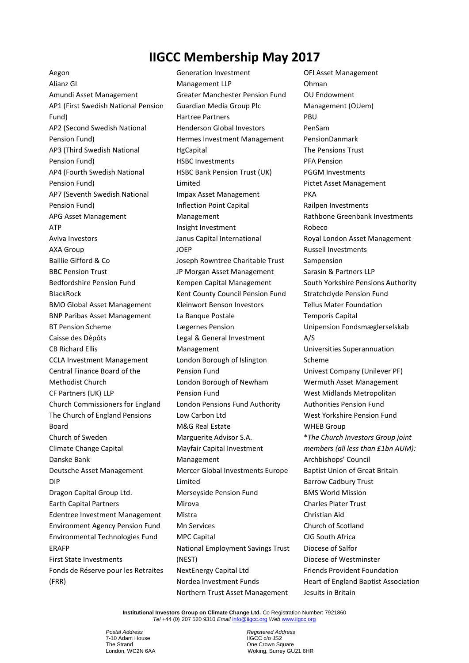## **IIGCC Membership May 2017**

Aegon Alianz GI Amundi Asset Management AP1 (First Swedish National Pension Fund) AP2 (Second Swedish National Pension Fund) AP3 (Third Swedish National Pension Fund) AP4 (Fourth Swedish National Pension Fund) AP7 (Seventh Swedish National Pension Fund) APG Asset Management ATP Aviva Investors AXA Group Baillie Gifford & Co BBC Pension Trust Bedfordshire Pension Fund BlackRock BMO Global Asset Management BNP Paribas Asset Management BT Pension Scheme Caisse des Dépôts CB Richard Ellis CCLA Investment Management Central Finance Board of the Methodist Church CF Partners (UK) LLP Church Commissioners for England The Church of England Pensions Board Church of Sweden Climate Change Capital Danske Bank Deutsche Asset Management DIP Dragon Capital Group Ltd. Earth Capital Partners Edentree Investment Management Environment Agency Pension Fund Environmental Technologies Fund ERAFP First State Investments Fonds de Réserve pour les Retraites (FRR)

Generation Investment Management LLP Greater Manchester Pension Fund Guardian Media Group Plc Hartree Partners Henderson Global Investors Hermes Investment Management **HgCapital** HSBC Investments HSBC Bank Pension Trust (UK) Limited Impax Asset Management Inflection Point Capital Management Insight Investment Janus Capital International JOEP Joseph Rowntree Charitable Trust JP Morgan Asset Management Kempen Capital Management Kent County Council Pension Fund Kleinwort Benson Investors La Banque Postale Lægernes Pension Legal & General Investment Management London Borough of Islington Pension Fund London Borough of Newham Pension Fund London Pensions Fund Authority Low Carbon Ltd M&G Real Estate Marguerite Advisor S.A. Mayfair Capital Investment Management Mercer Global Investments Europe Limited Merseyside Pension Fund Mirova Mistra Mn Services MPC Capital National Employment Savings Trust (NEST) NextEnergy Capital Ltd Nordea Investment Funds Northern Trust Asset Management

OFI Asset Management Ohman OU Endowment Management (OUem) PBU PenSam PensionDanmark The Pensions Trust PFA Pension PGGM Investments Pictet Asset Management PKA Railpen Investments Rathbone Greenbank Investments Robeco Royal London Asset Management Russell Investments Sampension Sarasin & Partners LLP South Yorkshire Pensions Authority Stratchclyde Pension Fund Tellus Mater Foundation Temporis Capital Unipension Fondsmæglerselskab A/S Universities Superannuation Scheme Univest Company (Unilever PF) Wermuth Asset Management West Midlands Metropolitan Authorities Pension Fund West Yorkshire Pension Fund WHEB Group \**The Church Investors Group joint members (all less than £1bn AUM):* Archbishops' Council Baptist Union of Great Britain Barrow Cadbury Trust BMS World Mission Charles Plater Trust Christian Aid Church of Scotland CIG South Africa Diocese of Salfor Diocese of Westminster Friends Provident Foundation Heart of England Baptist Association Jesuits in Britain

**Institutional Investors Group on Climate Change Ltd.** Co Registration Number: 7921860 *Tel* +44 (0) 207 520 9310 *Email* [info@iigcc.org](mailto:info@iigcc.org) *Web* [www.iigcc.org](http://www.iigcc.org/)

7-10 Adam House<br>The Strand The Strand<br>
1991 London, WC2N 6AA<br>
2001 Woking, Surrey GU

*Postal Address**Registered Address* Woking, Surrey GU21 6HR